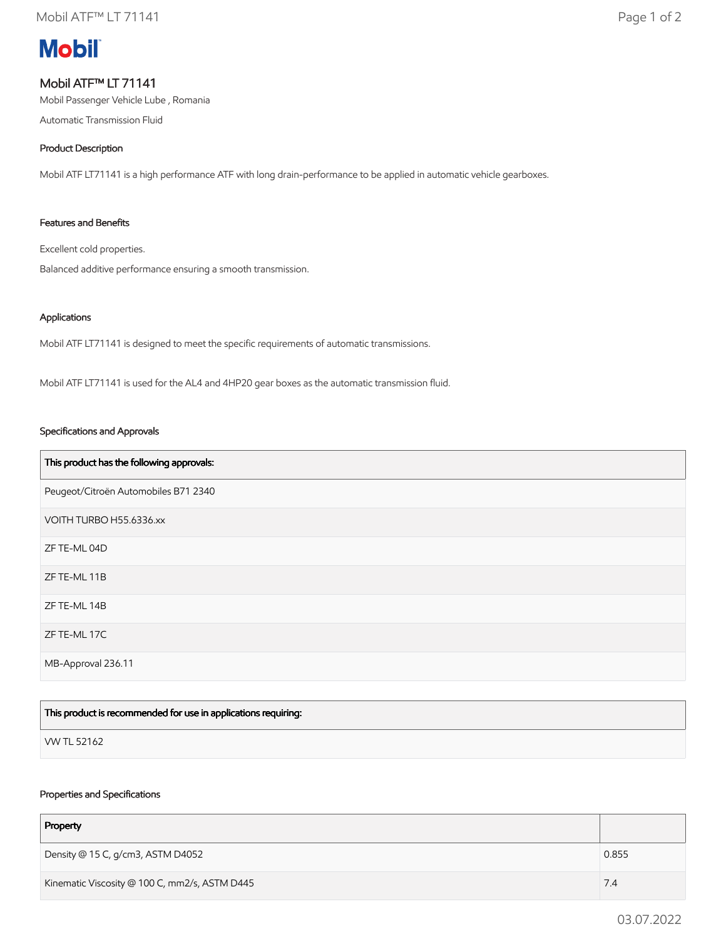# **Mobil**

# Mobil ATF™ LT 71141

Mobil Passenger Vehicle Lube , Romania

Automatic Transmission Fluid

## Product Description

Mobil ATF LT71141 is a high performance ATF with long drain-performance to be applied in automatic vehicle gearboxes.

## Features and Benefits

Excellent cold properties.

Balanced additive performance ensuring a smooth transmission.

#### Applications

Mobil ATF LT71141 is designed to meet the specific requirements of automatic transmissions.

Mobil ATF LT71141 is used for the AL4 and 4HP20 gear boxes as the automatic transmission fluid.

#### Specifications and Approvals

| This product has the following approvals: |
|-------------------------------------------|
| Peugeot/Citroën Automobiles B71 2340      |
| VOITH TURBO H55.6336.xx                   |
| ZF TE-ML 04D                              |
| ZF TE-ML 11B                              |
| ZF TE-ML 14B                              |
| ZF TE-ML 17C                              |
| MB-Approval 236.11                        |

| This product is recommended for use in applications requiring: |  |
|----------------------------------------------------------------|--|
| VW TL 52162                                                    |  |

#### Properties and Specifications

| Property                                      |       |
|-----------------------------------------------|-------|
| Density @ 15 C, g/cm3, ASTM D4052             | 0.855 |
| Kinematic Viscosity @ 100 C, mm2/s, ASTM D445 | 7.4   |